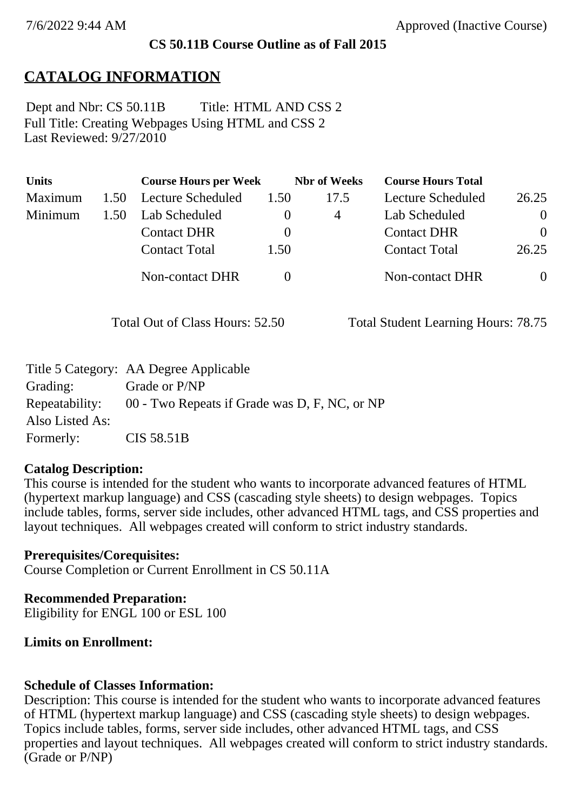### **CS 50.11B Course Outline as of Fall 2015**

## **CATALOG INFORMATION**

Full Title: Creating Webpages Using HTML and CSS 2 Last Reviewed: 9/27/2010 Dept and Nbr: CS 50.11B Title: HTML AND CSS 2

| <b>Units</b> |      | <b>Course Hours per Week</b> |          | <b>Nbr</b> of Weeks | <b>Course Hours Total</b> |                |
|--------------|------|------------------------------|----------|---------------------|---------------------------|----------------|
| Maximum      | 1.50 | <b>Lecture Scheduled</b>     | 1.50     | 17.5                | Lecture Scheduled         | 26.25          |
| Minimum      | 1.50 | Lab Scheduled                |          | 4                   | Lab Scheduled             | $\overline{0}$ |
|              |      | <b>Contact DHR</b>           | $\theta$ |                     | <b>Contact DHR</b>        | $\theta$       |
|              |      | <b>Contact Total</b>         | 1.50     |                     | <b>Contact Total</b>      | 26.25          |
|              |      | Non-contact DHR              |          |                     | Non-contact DHR           | $\overline{0}$ |

Total Out of Class Hours: 52.50 Total Student Learning Hours: 78.75

|                 | Title 5 Category: AA Degree Applicable                       |
|-----------------|--------------------------------------------------------------|
| Grading:        | Grade or P/NP                                                |
|                 | Repeatability: 00 - Two Repeats if Grade was D, F, NC, or NP |
| Also Listed As: |                                                              |
| Formerly:       | CIS 58.51B                                                   |

#### **Catalog Description:**

This course is intended for the student who wants to incorporate advanced features of HTML (hypertext markup language) and CSS (cascading style sheets) to design webpages. Topics include tables, forms, server side includes, other advanced HTML tags, and CSS properties and layout techniques. All webpages created will conform to strict industry standards.

**Prerequisites/Corequisites:** Course Completion or Current Enrollment in CS 50.11A

**Recommended Preparation:** Eligibility for ENGL 100 or ESL 100

### **Limits on Enrollment:**

### **Schedule of Classes Information:**

Description: This course is intended for the student who wants to incorporate advanced features of HTML (hypertext markup language) and CSS (cascading style sheets) to design webpages. Topics include tables, forms, server side includes, other advanced HTML tags, and CSS properties and layout techniques. All webpages created will conform to strict industry standards. (Grade or P/NP)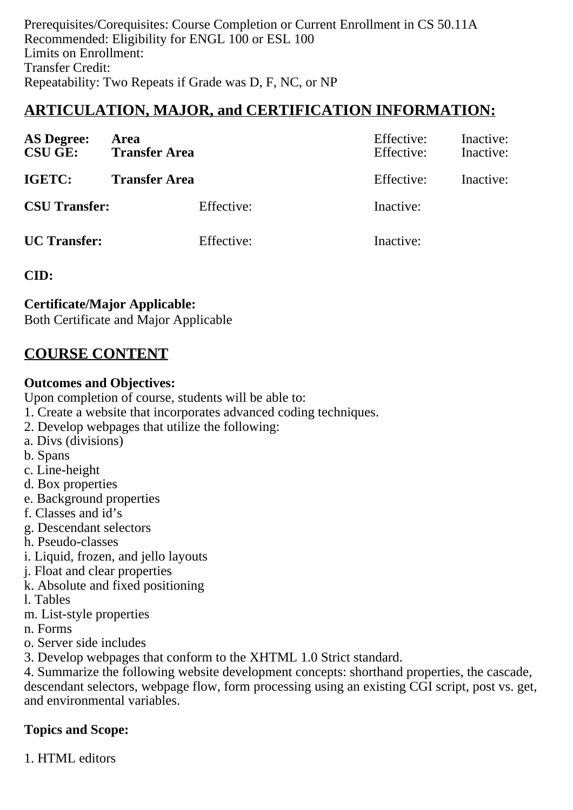Prerequisites/Corequisites: Course Completion or Current Enrollment in CS 50.11A Recommended: Eligibility for ENGL 100 or ESL 100 Limits on Enrollment: Transfer Credit: Repeatability: Two Repeats if Grade was D, F, NC, or NP

# **ARTICULATION, MAJOR, and CERTIFICATION INFORMATION:**

| <b>AS Degree:</b><br><b>CSU GE:</b> | Area<br><b>Transfer Area</b> | Effective:<br>Effective: | Inactive:<br>Inactive: |
|-------------------------------------|------------------------------|--------------------------|------------------------|
| <b>IGETC:</b>                       | <b>Transfer Area</b>         | Effective:               | Inactive:              |
| <b>CSU Transfer:</b>                | Effective:                   | Inactive:                |                        |
| <b>UC</b> Transfer:                 | Effective:                   | Inactive:                |                        |

### **CID:**

### **Certificate/Major Applicable:**

[Both Certificate and Major Applicable](SR_ClassCheck.aspx?CourseKey=CS50.11B)

## **COURSE CONTENT**

### **Outcomes and Objectives:**

Upon completion of course, students will be able to:

- 1. Create a website that incorporates advanced coding techniques.
- 2. Develop webpages that utilize the following:
- a. Divs (divisions)
- b. Spans
- c. Line-height
- d. Box properties
- e. Background properties
- f. Classes and id's
- g. Descendant selectors
- h. Pseudo-classes
- i. Liquid, frozen, and jello layouts
- j. Float and clear properties
- k. Absolute and fixed positioning
- l. Tables
- m. List-style properties
- n. Forms
- o. Server side includes
- 3. Develop webpages that conform to the XHTML 1.0 Strict standard.

4. Summarize the following website development concepts: shorthand properties, the cascade, descendant selectors, webpage flow, form processing using an existing CGI script, post vs. get, and environmental variables.

## **Topics and Scope:**

1. HTML editors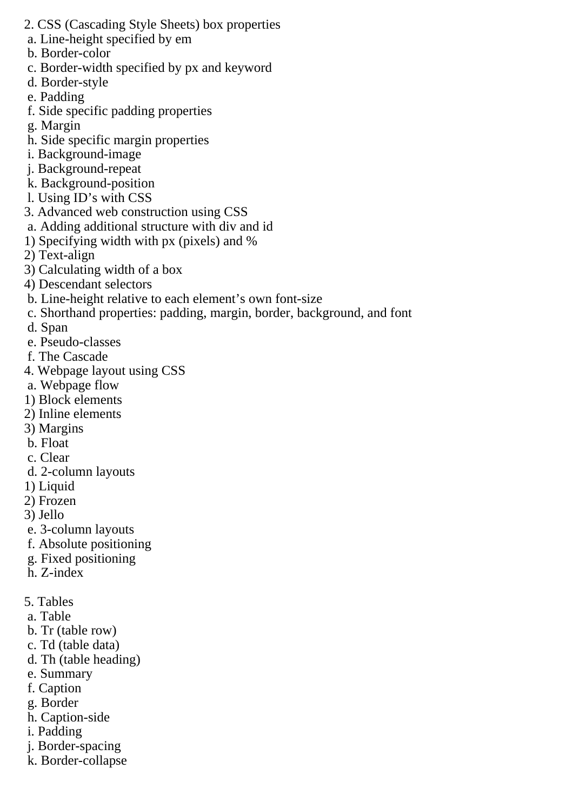- 2. CSS (Cascading Style Sheets) box properties
- a. Line-height specified by em
- b. Border-color
- c. Border-width specified by px and keyword
- d. Border-style
- e. Padding
- f. Side specific padding properties
- g. Margin
- h. Side specific margin properties
- i. Background-image
- j. Background-repeat
- k. Background-position
- l. Using ID's with CSS
- 3. Advanced web construction using CSS
- a. Adding additional structure with div and id
- 1) Specifying width with px (pixels) and %
- 2) Text-align
- 3) Calculating width of a box
- 4) Descendant selectors
- b. Line-height relative to each element's own font-size
- c. Shorthand properties: padding, margin, border, background, and font
- d. Span
- e. Pseudo-classes
- f. The Cascade
- 4. Webpage layout using CSS
- a. Webpage flow
- 1) Block elements
- 2) Inline elements
- 3) Margins
- b. Float
- c. Clear
- d. 2-column layouts
- 1) Liquid
- 2) Frozen
- 3) Jello
- e. 3-column layouts
- f. Absolute positioning
- g. Fixed positioning
- h. Z-index
- 5. Tables
- a. Table
- b. Tr (table row)
- c. Td (table data)
- d. Th (table heading)
- e. Summary
- f. Caption
- g. Border
- h. Caption-side
- i. Padding
- j. Border-spacing
- k. Border-collapse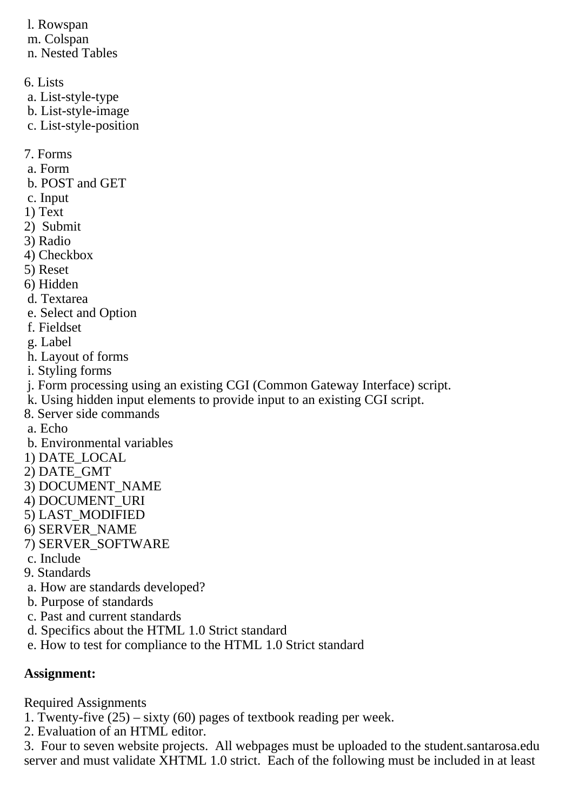l. Rowspan m. Colspan n. Nested Tables

6. Lists

- a. List-style-type
- b. List-style-image
- c. List-style-position

7. Forms

- a. Form
- b. POST and GET
- c. Input
- 1) Text
- 2) Submit
- 3) Radio
- 4) Checkbox
- 5) Reset
- 6) Hidden
- d. Textarea
- e. Select and Option
- f. Fieldset
- g. Label
- h. Layout of forms
- i. Styling forms
- j. Form processing using an existing CGI (Common Gateway Interface) script.
- k. Using hidden input elements to provide input to an existing CGI script.
- 8. Server side commands
- a. Echo
- b. Environmental variables
- 1) DATE\_LOCAL
- 2) DATE\_GMT
- 3) DOCUMENT\_NAME
- 4) DOCUMENT\_URI
- 5) LAST\_MODIFIED
- 6) SERVER\_NAME
- 7) SERVER\_SOFTWARE
- c. Include
- 9. Standards
- a. How are standards developed?
- b. Purpose of standards
- c. Past and current standards
- d. Specifics about the HTML 1.0 Strict standard
- e. How to test for compliance to the HTML 1.0 Strict standard

## **Assignment:**

Required Assignments

- 1. Twenty-five  $(25)$  sixty  $(60)$  pages of textbook reading per week.
- 2. Evaluation of an HTML editor.

3. Four to seven website projects. All webpages must be uploaded to the student.santarosa.edu server and must validate XHTML 1.0 strict. Each of the following must be included in at least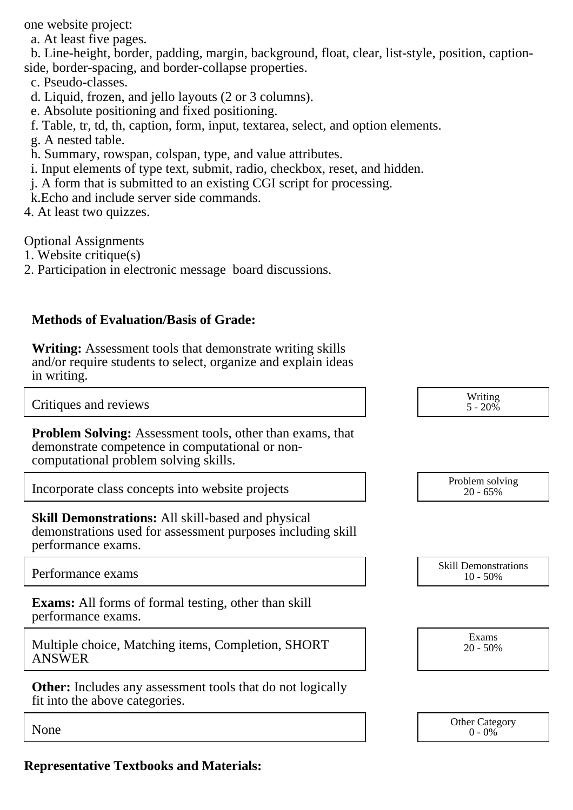one website project:

a. At least five pages.

 b. Line-height, border, padding, margin, background, float, clear, list-style, position, captionside, border-spacing, and border-collapse properties.

- c. Pseudo-classes.
- d. Liquid, frozen, and jello layouts (2 or 3 columns).
- e. Absolute positioning and fixed positioning.
- f. Table, tr, td, th, caption, form, input, textarea, select, and option elements.
- g. A nested table.
- h. Summary, rowspan, colspan, type, and value attributes.
- i. Input elements of type text, submit, radio, checkbox, reset, and hidden.
- j. A form that is submitted to an existing CGI script for processing.
- k.Echo and include server side commands.
- 4. At least two quizzes.

Optional Assignments

- 1. Website critique(s)
- 2. Participation in electronic message board discussions.

## **Methods of Evaluation/Basis of Grade:**

**Writing:** Assessment tools that demonstrate writing skills and/or require students to select, organize and explain ideas in writing.

Critiques and reviews

**Problem Solving:** Assessment tools, other than exams, that demonstrate competence in computational or noncomputational problem solving skills.

Incorporate class concepts into website projects

**Skill Demonstrations:** All skill-based and physical demonstrations used for assessment purposes including skill performance exams.

**Exams:** All forms of formal testing, other than skill performance exams.

Multiple choice, Matching items, Completion, SHORT ANSWER

**Other:** Includes any assessment tools that do not logically fit into the above categories.

| Writing<br>$5 - 20\%$ |
|-----------------------|
|                       |
|                       |

| Problem solving |  |
|-----------------|--|
| $20 - 65\%$     |  |

Performance exams and the state of the state of the skill Demonstrations of the Skill Demonstrations of the Skill Demonstrations of the Skill Demonstrations of the Song Section 10.50% 10 - 50%

> Exams 20 - 50%

None Category Chern Category Chern Category Chern Category Chern Category Chern Category Chern Category Chern Category  $0 - 0\%$ 

**Representative Textbooks and Materials:**